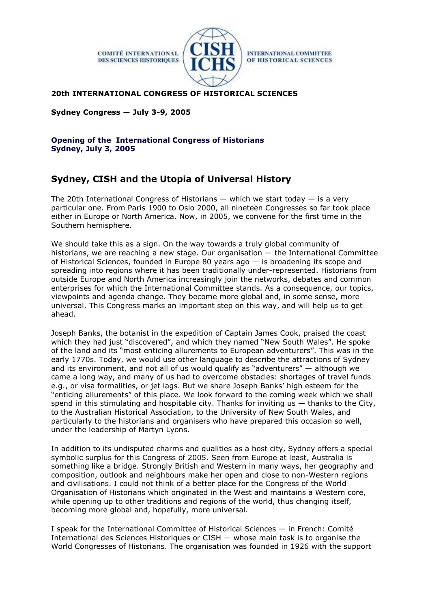

**INTERNATIONAL COMMITTEE** OF HISTORICAL SCIENCES

## **20th INTERNATIONAL CONGRESS OF HISTORICAL SCIENCES**

**Sydney Congress — July 3-9, 2005**

**Opening of the International Congress of Historians Sydney, July 3, 2005**

## **Sydney, CISH and the Utopia of Universal History**

The 20th International Congress of Historians  $-$  which we start today  $-$  is a very particular one. From Paris 1900 to Oslo 2000, all nineteen Congresses so far took place either in Europe or North America. Now, in 2005, we convene for the first time in the Southern hemisphere.

We should take this as a sign. On the way towards a truly global community of historians, we are reaching a new stage. Our organisation — the International Committee of Historical Sciences, founded in Europe 80 years ago — is broadening its scope and spreading into regions where it has been traditionally under-represented. Historians from outside Europe and North America increasingly join the networks, debates and common enterprises for which the International Committee stands. As a consequence, our topics, viewpoints and agenda change. They become more global and, in some sense, more universal. This Congress marks an important step on this way, and will help us to get ahead.

Joseph Banks, the botanist in the expedition of Captain James Cook, praised the coast which they had just "discovered", and which they named "New South Wales". He spoke of the land and its "most enticing allurements to European adventurers". This was in the early 1770s. Today, we would use other language to describe the attractions of Sydney and its environment, and not all of us would qualify as "adventurers" — although we came a long way, and many of us had to overcome obstacles: shortages of travel funds e.g., or visa formalities, or jet lags. But we share Joseph Banks' high esteem for the "enticing allurements" of this place. We look forward to the coming week which we shall spend in this stimulating and hospitable city. Thanks for inviting us  $-$  thanks to the City, to the Australian Historical Association, to the University of New South Wales, and particularly to the historians and organisers who have prepared this occasion so well, under the leadership of Martyn Lyons.

In addition to its undisputed charms and qualities as a host city, Sydney offers a special symbolic surplus for this Congress of 2005. Seen from Europe at least, Australia is something like a bridge. Strongly British and Western in many ways, her geography and composition, outlook and neighbours make her open and close to non-Western regions and civilisations. I could not think of a better place for the Congress of the World Organisation of Historians which originated in the West and maintains a Western core, while opening up to other traditions and regions of the world, thus changing itself, becoming more global and, hopefully, more universal.

I speak for the International Committee of Historical Sciences — in French: Comité International des Sciences Historiques or CISH — whose main task is to organise the World Congresses of Historians. The organisation was founded in 1926 with the support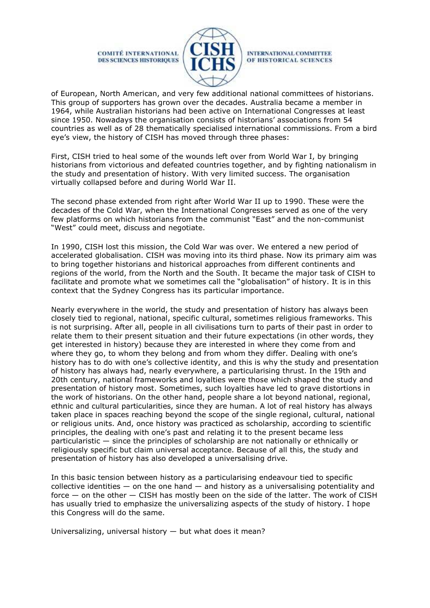

**INTERNATIONAL COMMITTEE** OF HISTORICAL SCIENCES

of European, North American, and very few additional national committees of historians. This group of supporters has grown over the decades. Australia became a member in 1964, while Australian historians had been active on International Congresses at least since 1950. Nowadays the organisation consists of historians' associations from 54 countries as well as of 28 thematically specialised international commissions. From a bird eye's view, the history of CISH has moved through three phases:

First, CISH tried to heal some of the wounds left over from World War I, by bringing historians from victorious and defeated countries together, and by fighting nationalism in the study and presentation of history. With very limited success. The organisation virtually collapsed before and during World War II.

The second phase extended from right after World War II up to 1990. These were the decades of the Cold War, when the International Congresses served as one of the very few platforms on which historians from the communist "East" and the non-communist "West" could meet, discuss and negotiate.

In 1990, CISH lost this mission, the Cold War was over. We entered a new period of accelerated globalisation. CISH was moving into its third phase. Now its primary aim was to bring together historians and historical approaches from different continents and regions of the world, from the North and the South. It became the major task of CISH to facilitate and promote what we sometimes call the "globalisation" of history. It is in this context that the Sydney Congress has its particular importance.

Nearly everywhere in the world, the study and presentation of history has always been closely tied to regional, national, specific cultural, sometimes religious frameworks. This is not surprising. After all, people in all civilisations turn to parts of their past in order to relate them to their present situation and their future expectations (in other words, they get interested in history) because they are interested in where they come from and where they go, to whom they belong and from whom they differ. Dealing with one's history has to do with one's collective identity, and this is why the study and presentation of history has always had, nearly everywhere, a particularising thrust. In the 19th and 20th century, national frameworks and loyalties were those which shaped the study and presentation of history most. Sometimes, such loyalties have led to grave distortions in the work of historians. On the other hand, people share a lot beyond national, regional, ethnic and cultural particularities, since they are human. A lot of real history has always taken place in spaces reaching beyond the scope of the single regional, cultural, national or religious units. And, once history was practiced as scholarship, according to scientific principles, the dealing with one's past and relating it to the present became less particularistic — since the principles of scholarship are not nationally or ethnically or religiously specific but claim universal acceptance. Because of all this, the study and presentation of history has also developed a universalising drive.

In this basic tension between history as a particularising endeavour tied to specific collective identities  $-$  on the one hand  $-$  and history as a universalising potentiality and force — on the other — CISH has mostly been on the side of the latter. The work of CISH has usually tried to emphasize the universalizing aspects of the study of history. I hope this Congress will do the same.

Universalizing, universal history — but what does it mean?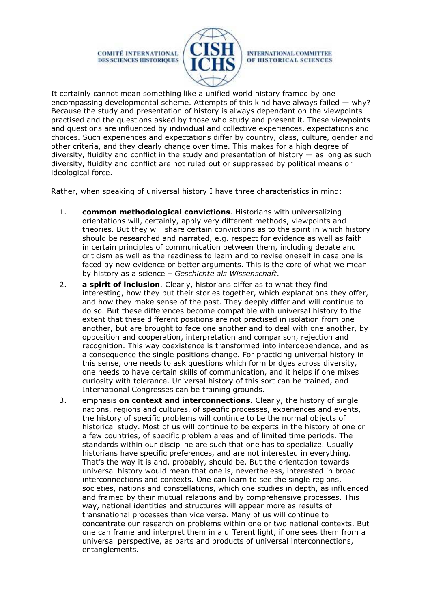

**INTERNATIONAL COMMITTEE** OF HISTORICAL SCIENCES

It certainly cannot mean something like a unified world history framed by one encompassing developmental scheme. Attempts of this kind have always failed  $-$  why? Because the study and presentation of history is always dependant on the viewpoints practised and the questions asked by those who study and present it. These viewpoints and questions are influenced by individual and collective experiences, expectations and choices. Such experiences and expectations differ by country, class, culture, gender and other criteria, and they clearly change over time. This makes for a high degree of diversity, fluidity and conflict in the study and presentation of history — as long as such diversity, fluidity and conflict are not ruled out or suppressed by political means or ideological force.

Rather, when speaking of universal history I have three characteristics in mind:

- 1. **common methodological convictions**. Historians with universalizing orientations will, certainly, apply very different methods, viewpoints and theories. But they will share certain convictions as to the spirit in which history should be researched and narrated, e.g. respect for evidence as well as faith in certain principles of communication between them, including debate and criticism as well as the readiness to learn and to revise oneself in case one is faced by new evidence or better arguments. This is the core of what we mean by history as a science – *Geschichte als Wissenschaft*.
- 2. **a spirit of inclusion**. Clearly, historians differ as to what they find interesting, how they put their stories together, which explanations they offer, and how they make sense of the past. They deeply differ and will continue to do so. But these differences become compatible with universal history to the extent that these different positions are not practised in isolation from one another, but are brought to face one another and to deal with one another, by opposition and cooperation, interpretation and comparison, rejection and recognition. This way coexistence is transformed into interdependence, and as a consequence the single positions change. For practicing universal history in this sense, one needs to ask questions which form bridges across diversity, one needs to have certain skills of communication, and it helps if one mixes curiosity with tolerance. Universal history of this sort can be trained, and International Congresses can be training grounds.
- 3. emphasis **on context and interconnections**. Clearly, the history of single nations, regions and cultures, of specific processes, experiences and events, the history of specific problems will continue to be the normal objects of historical study. Most of us will continue to be experts in the history of one or a few countries, of specific problem areas and of limited time periods. The standards within our discipline are such that one has to specialize. Usually historians have specific preferences, and are not interested in everything. That's the way it is and, probably, should be. But the orientation towards universal history would mean that one is, nevertheless, interested in broad interconnections and contexts. One can learn to see the single regions, societies, nations and constellations, which one studies in depth, as influenced and framed by their mutual relations and by comprehensive processes. This way, national identities and structures will appear more as results of transnational processes than vice versa. Many of us will continue to concentrate our research on problems within one or two national contexts. But one can frame and interpret them in a different light, if one sees them from a universal perspective, as parts and products of universal interconnections, entanglements.